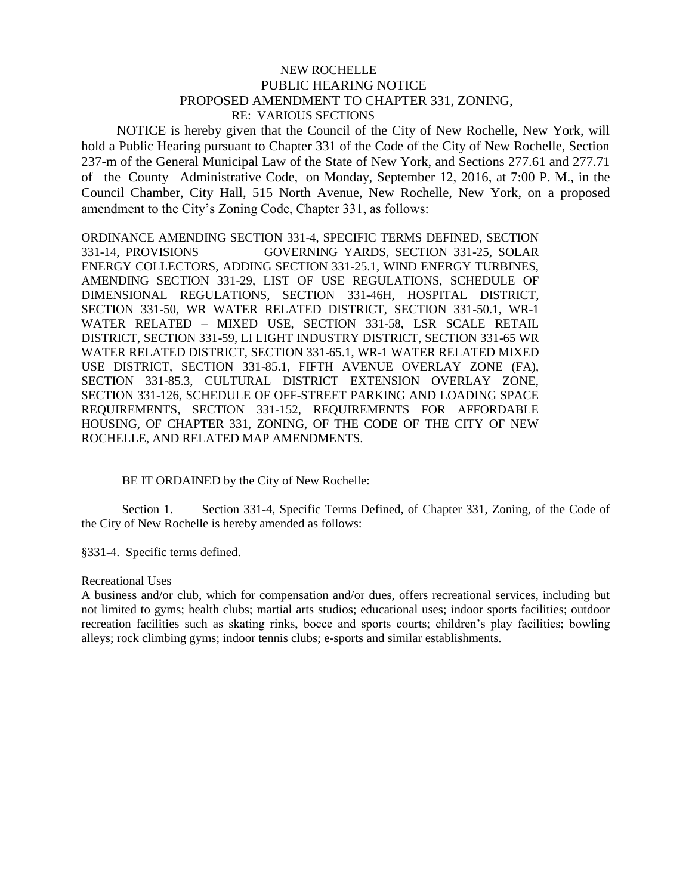## NEW ROCHELLE PUBLIC HEARING NOTICE PROPOSED AMENDMENT TO CHAPTER 331, ZONING, RE: VARIOUS SECTIONS

 NOTICE is hereby given that the Council of the City of New Rochelle, New York, will hold a Public Hearing pursuant to Chapter 331 of the Code of the City of New Rochelle, Section 237-m of the General Municipal Law of the State of New York, and Sections 277.61 and 277.71 of the County Administrative Code, on Monday, September 12, 2016, at 7:00 P. M., in the Council Chamber, City Hall, 515 North Avenue, New Rochelle, New York, on a proposed amendment to the City's Zoning Code, Chapter 331, as follows:

ORDINANCE AMENDING SECTION 331-4, SPECIFIC TERMS DEFINED, SECTION 331-14, PROVISIONS GOVERNING YARDS, SECTION 331-25, SOLAR ENERGY COLLECTORS, ADDING SECTION 331-25.1, WIND ENERGY TURBINES, AMENDING SECTION 331-29, LIST OF USE REGULATIONS, SCHEDULE OF DIMENSIONAL REGULATIONS, SECTION 331-46H, HOSPITAL DISTRICT, SECTION 331-50, WR WATER RELATED DISTRICT, SECTION 331-50.1, WR-1 WATER RELATED – MIXED USE, SECTION 331-58, LSR SCALE RETAIL DISTRICT, SECTION 331-59, LI LIGHT INDUSTRY DISTRICT, SECTION 331-65 WR WATER RELATED DISTRICT, SECTION 331-65.1, WR-1 WATER RELATED MIXED USE DISTRICT, SECTION 331-85.1, FIFTH AVENUE OVERLAY ZONE (FA), SECTION 331-85.3, CULTURAL DISTRICT EXTENSION OVERLAY ZONE, SECTION 331-126, SCHEDULE OF OFF-STREET PARKING AND LOADING SPACE REQUIREMENTS, SECTION 331-152, REQUIREMENTS FOR AFFORDABLE HOUSING, OF CHAPTER 331, ZONING, OF THE CODE OF THE CITY OF NEW ROCHELLE, AND RELATED MAP AMENDMENTS.

## BE IT ORDAINED by the City of New Rochelle:

Section 1. Section 331-4, Specific Terms Defined, of Chapter 331, Zoning, of the Code of the City of New Rochelle is hereby amended as follows:

§331-4. Specific terms defined.

## Recreational Uses

A business and/or club, which for compensation and/or dues, offers recreational services, including but not limited to gyms; health clubs; martial arts studios; educational uses; indoor sports facilities; outdoor recreation facilities such as skating rinks, bocce and sports courts; children's play facilities; bowling alleys; rock climbing gyms; indoor tennis clubs; e-sports and similar establishments.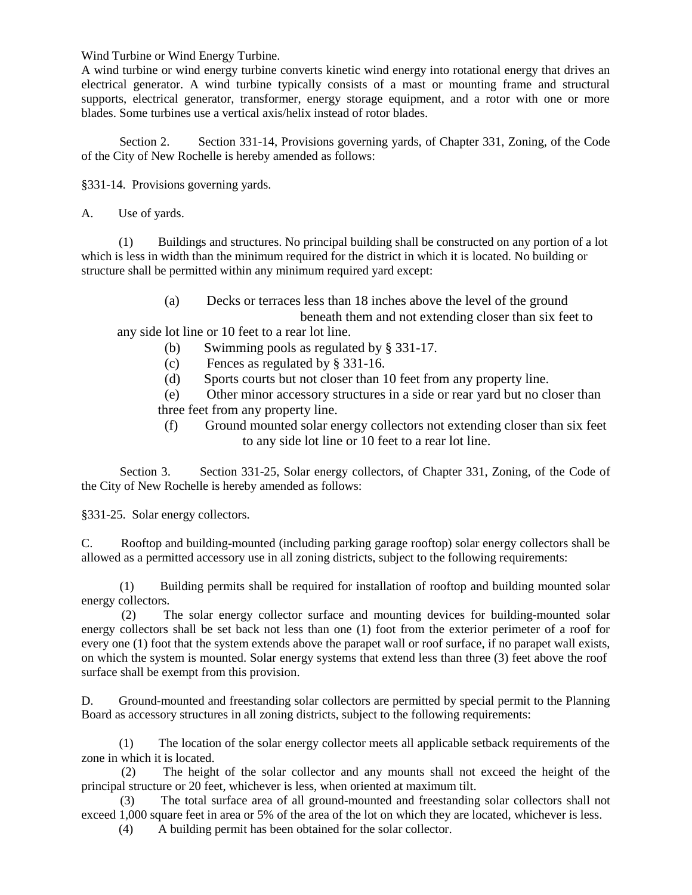Wind Turbine or Wind Energy Turbine.

A wind turbine or wind energy turbine converts kinetic wind energy into rotational energy that drives an electrical generator. A wind turbine typically consists of a mast or mounting frame and structural supports, electrical generator, transformer, energy storage equipment, and a rotor with one or more blades. Some turbines use a vertical axis/helix instead of rotor blades.

 Section 2. Section 331-14, Provisions governing yards, of Chapter 331, Zoning, of the Code of the City of New Rochelle is hereby amended as follows:

§331-14. Provisions governing yards.

A. Use of yards.

 (1) Buildings and structures. No principal building shall be constructed on any portion of a lot which is less in width than the minimum required for the district in which it is located. No building or structure shall be permitted within any minimum required yard except:

> (a) Decks or terraces less than 18 inches above the level of the ground beneath them and not extending closer than six feet to

any side lot line or 10 feet to a rear lot line.

- (b) Swimming pools as regulated by § 331-17.
- (c) Fences as regulated by § 331-16.
- (d) Sports courts but not closer than 10 feet from any property line.

 (e) Other minor accessory structures in a side or rear yard but no closer than three feet from any property line.

 (f) Ground mounted solar energy collectors not extending closer than six feet to any side lot line or 10 feet to a rear lot line.

Section 3. Section 331-25, Solar energy collectors, of Chapter 331, Zoning, of the Code of the City of New Rochelle is hereby amended as follows:

§331-25. Solar energy collectors.

C. Rooftop and building-mounted (including parking garage rooftop) solar energy collectors shall be allowed as a permitted accessory use in all zoning districts, subject to the following requirements:

 (1) Building permits shall be required for installation of rooftop and building mounted solar energy collectors.

 (2) The solar energy collector surface and mounting devices for building-mounted solar energy collectors shall be set back not less than one (1) foot from the exterior perimeter of a roof for every one (1) foot that the system extends above the parapet wall or roof surface, if no parapet wall exists, on which the system is mounted. Solar energy systems that extend less than three (3) feet above the roof surface shall be exempt from this provision.

D. Ground-mounted and freestanding solar collectors are permitted by special permit to the Planning Board as accessory structures in all zoning districts, subject to the following requirements:

 (1) The location of the solar energy collector meets all applicable setback requirements of the zone in which it is located.

 (2) The height of the solar collector and any mounts shall not exceed the height of the principal structure or 20 feet, whichever is less, when oriented at maximum tilt.

 (3) The total surface area of all ground-mounted and freestanding solar collectors shall not exceed 1,000 square feet in area or 5% of the area of the lot on which they are located, whichever is less.

(4) A building permit has been obtained for the solar collector.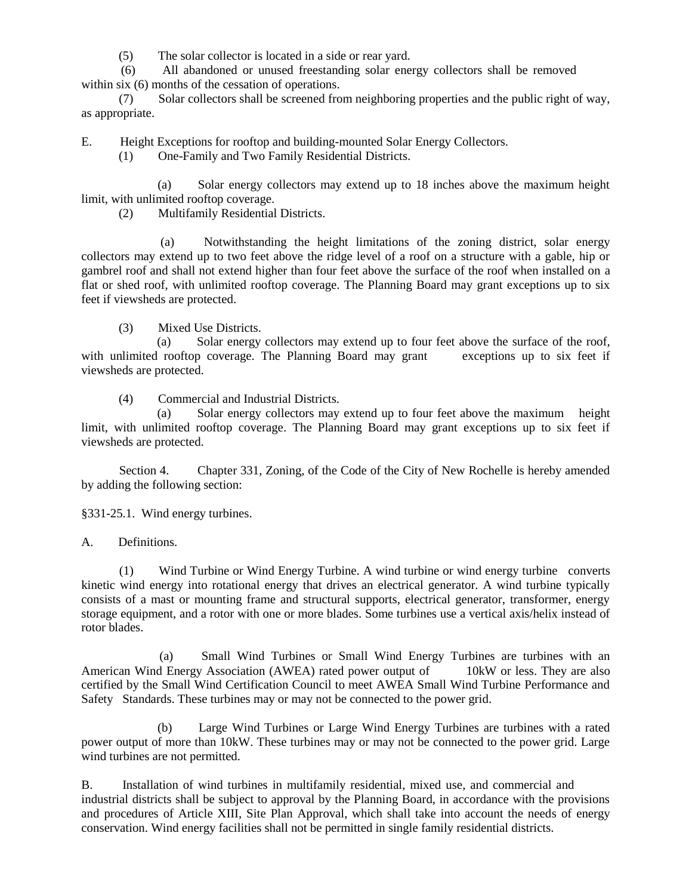(5) The solar collector is located in a side or rear yard.

 (6) All abandoned or unused freestanding solar energy collectors shall be removed within six  $(6)$  months of the cessation of operations.

 (7) Solar collectors shall be screened from neighboring properties and the public right of way, as appropriate.

E. Height Exceptions for rooftop and building-mounted Solar Energy Collectors.

(1) One-Family and Two Family Residential Districts.

 (a) Solar energy collectors may extend up to 18 inches above the maximum height limit, with unlimited rooftop coverage.

(2) Multifamily Residential Districts.

 (a) Notwithstanding the height limitations of the zoning district, solar energy collectors may extend up to two feet above the ridge level of a roof on a structure with a gable, hip or gambrel roof and shall not extend higher than four feet above the surface of the roof when installed on a flat or shed roof, with unlimited rooftop coverage. The Planning Board may grant exceptions up to six feet if viewsheds are protected.

(3) Mixed Use Districts.

 (a) Solar energy collectors may extend up to four feet above the surface of the roof, with unlimited rooftop coverage. The Planning Board may grant exceptions up to six feet if viewsheds are protected.

(4) Commercial and Industrial Districts.

 (a) Solar energy collectors may extend up to four feet above the maximum height limit, with unlimited rooftop coverage. The Planning Board may grant exceptions up to six feet if viewsheds are protected.

 Section 4. Chapter 331, Zoning, of the Code of the City of New Rochelle is hereby amended by adding the following section:

§331-25.1. Wind energy turbines.

A. Definitions.

 (1) Wind Turbine or Wind Energy Turbine. A wind turbine or wind energy turbine converts kinetic wind energy into rotational energy that drives an electrical generator. A wind turbine typically consists of a mast or mounting frame and structural supports, electrical generator, transformer, energy storage equipment, and a rotor with one or more blades. Some turbines use a vertical axis/helix instead of rotor blades.

 (a) Small Wind Turbines or Small Wind Energy Turbines are turbines with an American Wind Energy Association (AWEA) rated power output of 10kW or less. They are also certified by the Small Wind Certification Council to meet AWEA Small Wind Turbine Performance and Safety Standards. These turbines may or may not be connected to the power grid.

 (b) Large Wind Turbines or Large Wind Energy Turbines are turbines with a rated power output of more than 10kW. These turbines may or may not be connected to the power grid. Large wind turbines are not permitted.

B. Installation of wind turbines in multifamily residential, mixed use, and commercial and industrial districts shall be subject to approval by the Planning Board, in accordance with the provisions and procedures of Article XIII, Site Plan Approval, which shall take into account the needs of energy conservation. Wind energy facilities shall not be permitted in single family residential districts.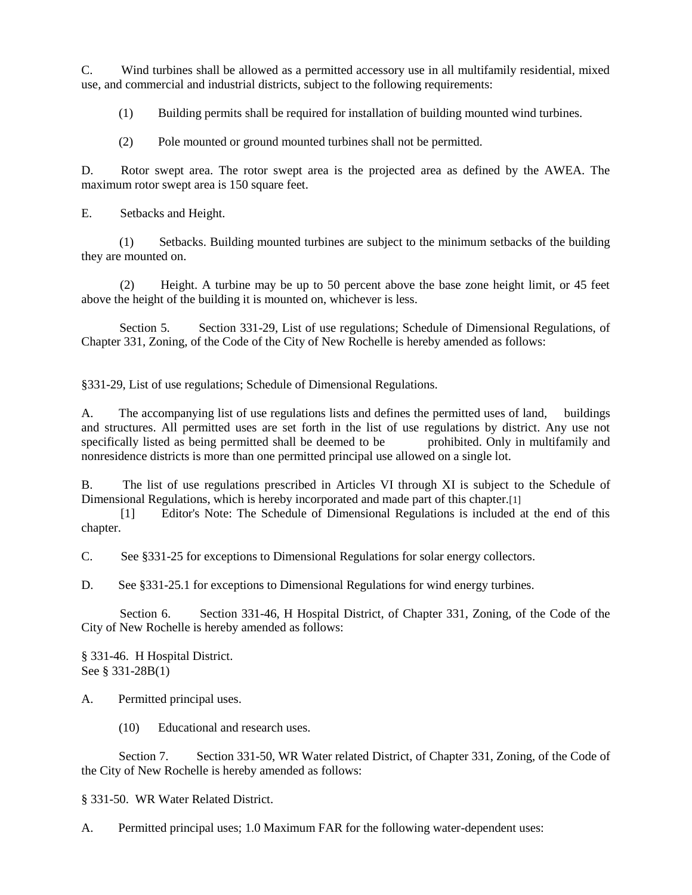C. Wind turbines shall be allowed as a permitted accessory use in all multifamily residential, mixed use, and commercial and industrial districts, subject to the following requirements:

(1) Building permits shall be required for installation of building mounted wind turbines.

(2) Pole mounted or ground mounted turbines shall not be permitted.

D. Rotor swept area. The rotor swept area is the projected area as defined by the AWEA. The maximum rotor swept area is 150 square feet.

E. Setbacks and Height.

 (1) Setbacks. Building mounted turbines are subject to the minimum setbacks of the building they are mounted on.

 (2) Height. A turbine may be up to 50 percent above the base zone height limit, or 45 feet above the height of the building it is mounted on, whichever is less.

 Section 5. Section 331-29, List of use regulations; Schedule of Dimensional Regulations, of Chapter 331, Zoning, of the Code of the City of New Rochelle is hereby amended as follows:

§331-29, List of use regulations; Schedule of Dimensional Regulations.

A. The accompanying list of use regulations lists and defines the permitted uses of land, buildings and structures. All permitted uses are set forth in the list of use regulations by district. Any use not specifically listed as being permitted shall be deemed to be prohibited. Only in multifamily and nonresidence districts is more than one permitted principal use allowed on a single lot.

B. The list of use regulations prescribed in Articles VI through XI is subject to the Schedule of Dimensional Regulations, which is hereby incorporated and made part of this chapter.[1]

 [1] Editor's Note: The Schedule of Dimensional Regulations is included at the end of this chapter.

C. See §331-25 for exceptions to Dimensional Regulations for solar energy collectors.

D. See §331-25.1 for exceptions to Dimensional Regulations for wind energy turbines.

 Section 6. Section 331-46, H Hospital District, of Chapter 331, Zoning, of the Code of the City of New Rochelle is hereby amended as follows:

§ 331-46. H Hospital District. See § 331-28B(1)

A. Permitted principal uses.

(10) Educational and research uses.

Section 7. Section 331-50, WR Water related District, of Chapter 331, Zoning, of the Code of the City of New Rochelle is hereby amended as follows:

§ 331-50. WR Water Related District.

A. Permitted principal uses; 1.0 Maximum FAR for the following water-dependent uses: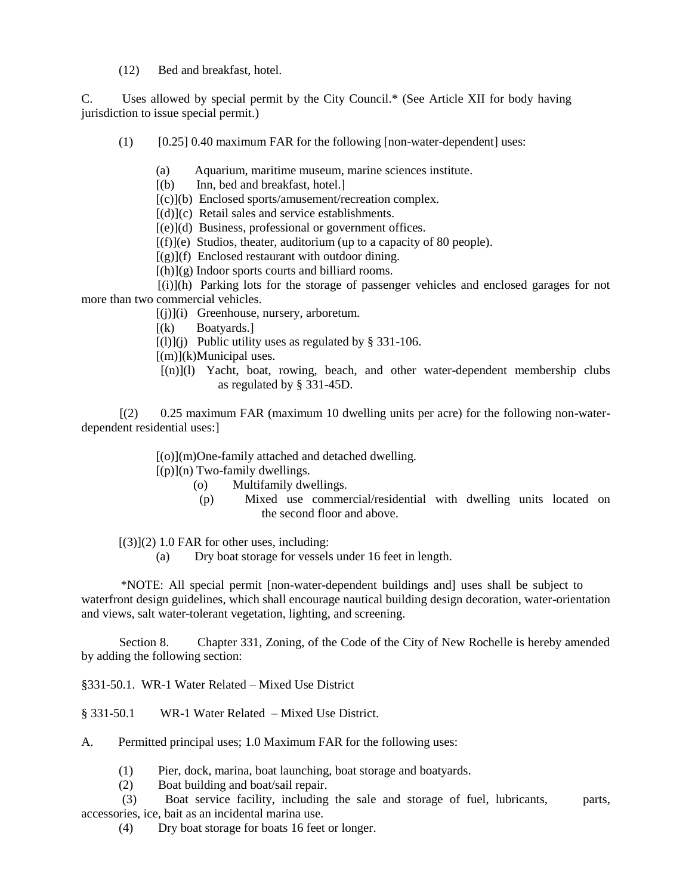(12) Bed and breakfast, hotel.

C. Uses allowed by special permit by the City Council.\* (See Article XII for body having jurisdiction to issue special permit.)

- $(1)$  [0.25] 0.40 maximum FAR for the following [non-water-dependent] uses:
	- (a) Aquarium, maritime museum, marine sciences institute.

[(b) Inn, bed and breakfast, hotel.]

[(c)](b) Enclosed sports/amusement/recreation complex.

 $[(d)](c)$  Retail sales and service establishments.

[(e)](d) Business, professional or government offices.

 $[(f)](e)$  Studios, theater, auditorium (up to a capacity of 80 people).

 $[(g)](f)$  Enclosed restaurant with outdoor dining.

 $[(h)](g)$  Indoor sports courts and billiard rooms.

 [(i)](h) Parking lots for the storage of passenger vehicles and enclosed garages for not more than two commercial vehicles.

[(j)](i) Greenhouse, nursery, arboretum.

 $[(k)$  Boatyards.]

 $[(1)](j)$  Public utility uses as regulated by § 331-106.

 $[(m)](k)$ Municipal uses.

 [(n)](l) Yacht, boat, rowing, beach, and other water-dependent membership clubs as regulated by § 331-45D.

 [(2) 0.25 maximum FAR (maximum 10 dwelling units per acre) for the following non-waterdependent residential uses:]

[(o)](m)One-family attached and detached dwelling.

 $[(p)](n)$  Two-family dwellings.

- (o) Multifamily dwellings.
- (p) Mixed use commercial/residential with dwelling units located on the second floor and above.

 $[(3)](2)$  1.0 FAR for other uses, including:

(a) Dry boat storage for vessels under 16 feet in length.

 \*NOTE: All special permit [non-water-dependent buildings and] uses shall be subject to waterfront design guidelines, which shall encourage nautical building design decoration, water-orientation and views, salt water-tolerant vegetation, lighting, and screening.

 Section 8. Chapter 331, Zoning, of the Code of the City of New Rochelle is hereby amended by adding the following section:

§331-50.1. WR-1 Water Related – Mixed Use District

§ 331-50.1 WR-1 Water Related – Mixed Use District.

A. Permitted principal uses; 1.0 Maximum FAR for the following uses:

- (1) Pier, dock, marina, boat launching, boat storage and boatyards.
- (2) Boat building and boat/sail repair.
- (3) Boat service facility, including the sale and storage of fuel, lubricants, parts, accessories, ice, bait as an incidental marina use.
	- (4) Dry boat storage for boats 16 feet or longer.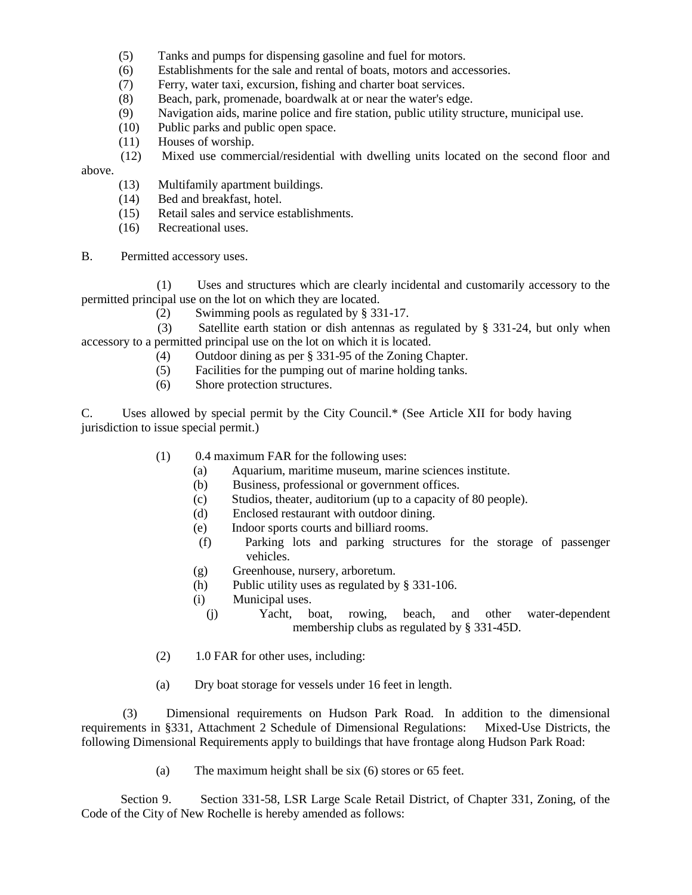- (5) Tanks and pumps for dispensing gasoline and fuel for motors.
- (6) Establishments for the sale and rental of boats, motors and accessories.
- (7) Ferry, water taxi, excursion, fishing and charter boat services.
- (8) Beach, park, promenade, boardwalk at or near the water's edge.
- (9) Navigation aids, marine police and fire station, public utility structure, municipal use.
- (10) Public parks and public open space.
- (11) Houses of worship.
- (12) Mixed use commercial/residential with dwelling units located on the second floor and above.
	- (13) Multifamily apartment buildings.
	- (14) Bed and breakfast, hotel.
	- (15) Retail sales and service establishments.
	- (16) Recreational uses.
- B. Permitted accessory uses.

 (1) Uses and structures which are clearly incidental and customarily accessory to the permitted principal use on the lot on which they are located.

(2) Swimming pools as regulated by § 331-17.

 (3) Satellite earth station or dish antennas as regulated by § 331-24, but only when accessory to a permitted principal use on the lot on which it is located.

- (4) Outdoor dining as per § 331-95 of the Zoning Chapter.
- (5) Facilities for the pumping out of marine holding tanks.
- (6) Shore protection structures.

C. Uses allowed by special permit by the City Council.\* (See Article XII for body having jurisdiction to issue special permit.)

- (1) 0.4 maximum FAR for the following uses:
	- (a) Aquarium, maritime museum, marine sciences institute.
	- (b) Business, professional or government offices.
	- (c) Studios, theater, auditorium (up to a capacity of 80 people).
	- (d) Enclosed restaurant with outdoor dining.
	- (e) Indoor sports courts and billiard rooms.
	- (f) Parking lots and parking structures for the storage of passenger vehicles.
	- (g) Greenhouse, nursery, arboretum.
	- (h) Public utility uses as regulated by § 331-106.
	- (i) Municipal uses.
		- (j) Yacht, boat, rowing, beach, and other water-dependent membership clubs as regulated by § 331-45D.
- (2) 1.0 FAR for other uses, including:
- (a) Dry boat storage for vessels under 16 feet in length.

 (3) Dimensional requirements on Hudson Park Road. In addition to the dimensional requirements in §331, Attachment 2 Schedule of Dimensional Regulations: Mixed-Use Districts, the following Dimensional Requirements apply to buildings that have frontage along Hudson Park Road:

(a) The maximum height shall be six (6) stores or 65 feet.

 Section 9. Section 331-58, LSR Large Scale Retail District, of Chapter 331, Zoning, of the Code of the City of New Rochelle is hereby amended as follows: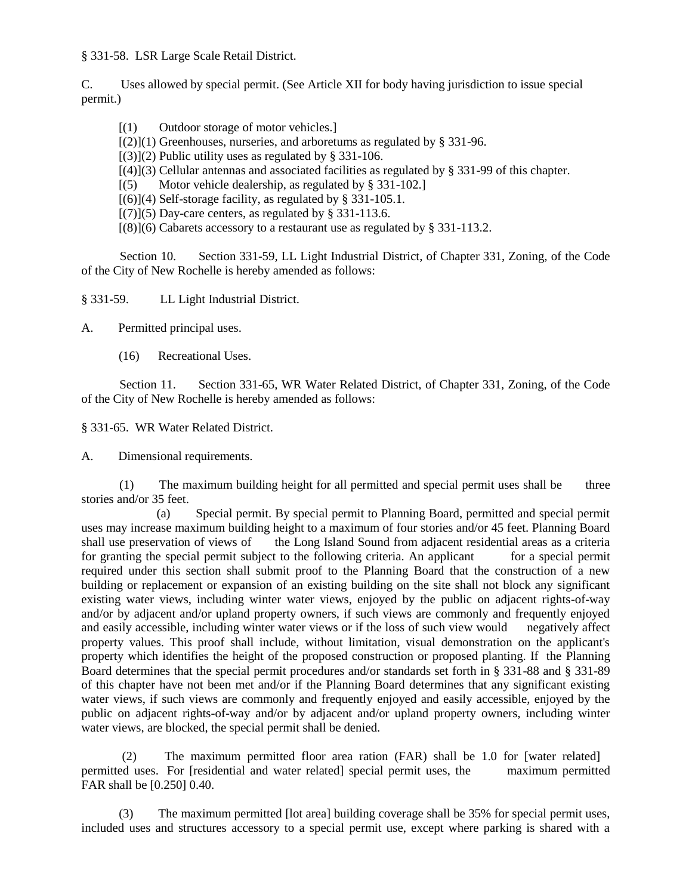§ 331-58. LSR Large Scale Retail District.

C. Uses allowed by special permit. (See Article XII for body having jurisdiction to issue special permit.)

- [(1) Outdoor storage of motor vehicles.]
- $[(2)](1)$  Greenhouses, nurseries, and arboretums as regulated by § 331-96.
- $[(3)](2)$  Public utility uses as regulated by § 331-106.
- [(4)](3) Cellular antennas and associated facilities as regulated by § 331-99 of this chapter.
- [(5) Motor vehicle dealership, as regulated by § 331-102.]
- $[(6)](4)$  Self-storage facility, as regulated by § 331-105.1.
- $[(7)](5)$  Day-care centers, as regulated by § 331-113.6.
- $[(8)](6)$  Cabarets accessory to a restaurant use as regulated by § 331-113.2.

 Section 10. Section 331-59, LL Light Industrial District, of Chapter 331, Zoning, of the Code of the City of New Rochelle is hereby amended as follows:

§ 331-59. LL Light Industrial District.

A. Permitted principal uses.

(16) Recreational Uses.

 Section 11. Section 331-65, WR Water Related District, of Chapter 331, Zoning, of the Code of the City of New Rochelle is hereby amended as follows:

§ 331-65. WR Water Related District.

A. Dimensional requirements.

 (1) The maximum building height for all permitted and special permit uses shall be three stories and/or 35 feet.

 (a) Special permit. By special permit to Planning Board, permitted and special permit uses may increase maximum building height to a maximum of four stories and/or 45 feet. Planning Board shall use preservation of views of the Long Island Sound from adjacent residential areas as a criteria for granting the special permit subject to the following criteria. An applicant for a special permit required under this section shall submit proof to the Planning Board that the construction of a new building or replacement or expansion of an existing building on the site shall not block any significant existing water views, including winter water views, enjoyed by the public on adjacent rights-of-way and/or by adjacent and/or upland property owners, if such views are commonly and frequently enjoyed and easily accessible, including winter water views or if the loss of such view would negatively affect property values. This proof shall include, without limitation, visual demonstration on the applicant's property which identifies the height of the proposed construction or proposed planting. If the Planning Board determines that the special permit procedures and/or standards set forth in § 331-88 and § 331-89 of this chapter have not been met and/or if the Planning Board determines that any significant existing water views, if such views are commonly and frequently enjoyed and easily accessible, enjoyed by the public on adjacent rights-of-way and/or by adjacent and/or upland property owners, including winter water views, are blocked, the special permit shall be denied.

 (2) The maximum permitted floor area ration (FAR) shall be 1.0 for [water related] permitted uses. For [residential and water related] special permit uses, the maximum permitted FAR shall be [0.250] 0.40.

 (3) The maximum permitted [lot area] building coverage shall be 35% for special permit uses, included uses and structures accessory to a special permit use, except where parking is shared with a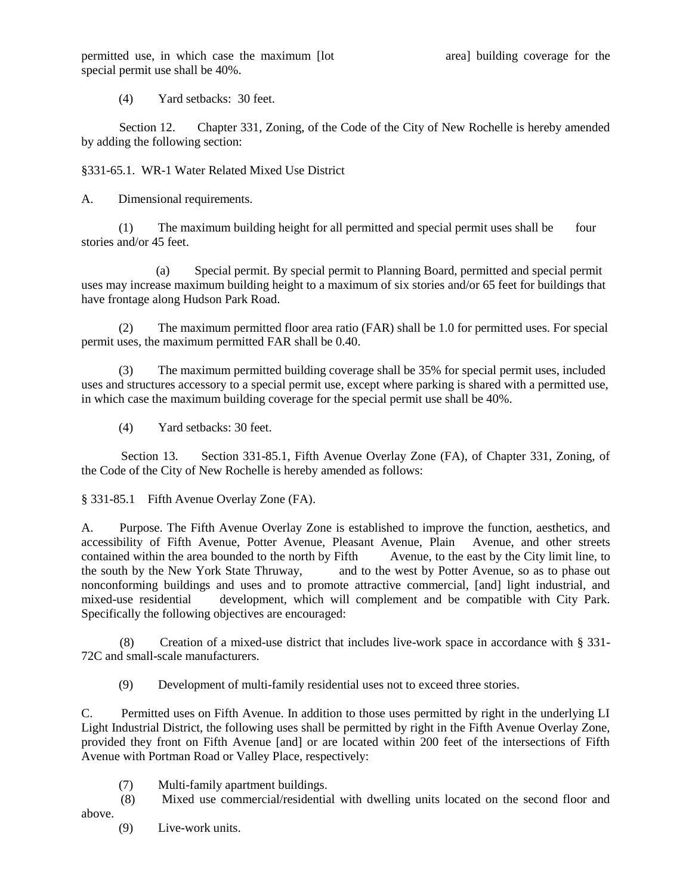permitted use, in which case the maximum [lot area] building coverage for the special permit use shall be 40%.

(4) Yard setbacks: 30 feet.

 Section 12. Chapter 331, Zoning, of the Code of the City of New Rochelle is hereby amended by adding the following section:

§331-65.1. WR-1 Water Related Mixed Use District

A. Dimensional requirements.

 (1) The maximum building height for all permitted and special permit uses shall be four stories and/or 45 feet.

 (a) Special permit. By special permit to Planning Board, permitted and special permit uses may increase maximum building height to a maximum of six stories and/or 65 feet for buildings that have frontage along Hudson Park Road.

 (2) The maximum permitted floor area ratio (FAR) shall be 1.0 for permitted uses. For special permit uses, the maximum permitted FAR shall be 0.40.

 (3) The maximum permitted building coverage shall be 35% for special permit uses, included uses and structures accessory to a special permit use, except where parking is shared with a permitted use, in which case the maximum building coverage for the special permit use shall be 40%.

(4) Yard setbacks: 30 feet.

 Section 13. Section 331-85.1, Fifth Avenue Overlay Zone (FA), of Chapter 331, Zoning, of the Code of the City of New Rochelle is hereby amended as follows:

§ 331-85.1 Fifth Avenue Overlay Zone (FA).

A. Purpose. The Fifth Avenue Overlay Zone is established to improve the function, aesthetics, and accessibility of Fifth Avenue, Potter Avenue, Pleasant Avenue, Plain Avenue, and other streets contained within the area bounded to the north by Fifth Avenue, to the east by the City limit line, to the south by the New York State Thruway, and to the west by Potter Avenue, so as to phase out nonconforming buildings and uses and to promote attractive commercial, [and] light industrial, and mixed-use residential development, which will complement and be compatible with City Park. Specifically the following objectives are encouraged:

 (8) Creation of a mixed-use district that includes live-work space in accordance with § 331- 72C and small-scale manufacturers.

(9) Development of multi-family residential uses not to exceed three stories.

C. Permitted uses on Fifth Avenue. In addition to those uses permitted by right in the underlying LI Light Industrial District, the following uses shall be permitted by right in the Fifth Avenue Overlay Zone, provided they front on Fifth Avenue [and] or are located within 200 feet of the intersections of Fifth Avenue with Portman Road or Valley Place, respectively:

(7) Multi-family apartment buildings.

 (8) Mixed use commercial/residential with dwelling units located on the second floor and above.

(9) Live-work units.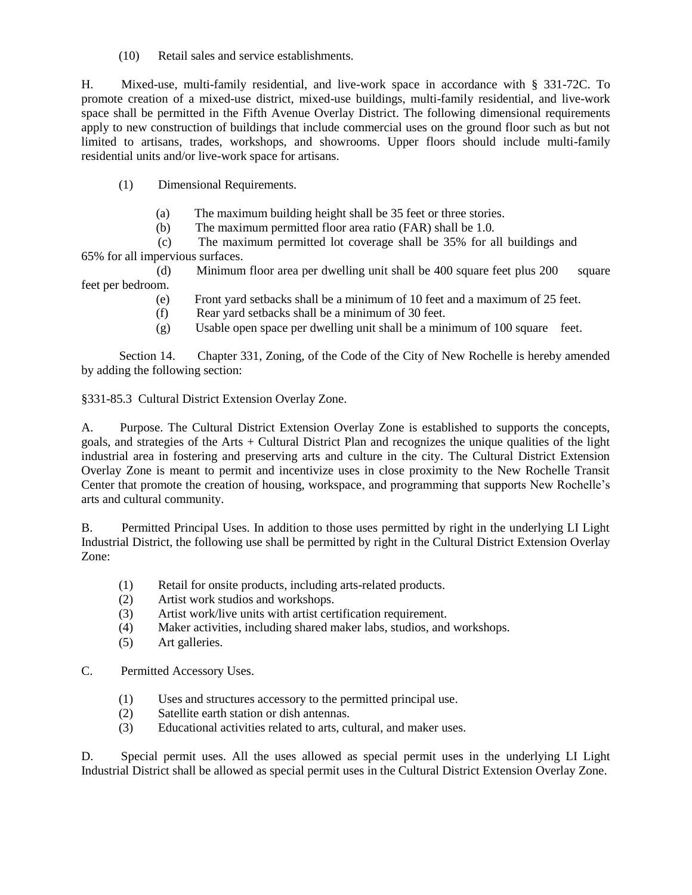(10) Retail sales and service establishments.

H. Mixed-use, multi-family residential, and live-work space in accordance with § 331-72C. To promote creation of a mixed-use district, mixed-use buildings, multi-family residential, and live-work space shall be permitted in the Fifth Avenue Overlay District. The following dimensional requirements apply to new construction of buildings that include commercial uses on the ground floor such as but not limited to artisans, trades, workshops, and showrooms. Upper floors should include multi-family residential units and/or live-work space for artisans.

- (1) Dimensional Requirements.
	- (a) The maximum building height shall be 35 feet or three stories.
	- (b) The maximum permitted floor area ratio (FAR) shall be 1.0.

 (c) The maximum permitted lot coverage shall be 35% for all buildings and 65% for all impervious surfaces.

 (d) Minimum floor area per dwelling unit shall be 400 square feet plus 200 square feet per bedroom.

- (e) Front yard setbacks shall be a minimum of 10 feet and a maximum of 25 feet.
	- (f) Rear yard setbacks shall be a minimum of 30 feet.
	- (g) Usable open space per dwelling unit shall be a minimum of 100 square feet.

 Section 14. Chapter 331, Zoning, of the Code of the City of New Rochelle is hereby amended by adding the following section:

§331-85.3 Cultural District Extension Overlay Zone.

A. Purpose. The Cultural District Extension Overlay Zone is established to supports the concepts, goals, and strategies of the Arts + Cultural District Plan and recognizes the unique qualities of the light industrial area in fostering and preserving arts and culture in the city. The Cultural District Extension Overlay Zone is meant to permit and incentivize uses in close proximity to the New Rochelle Transit Center that promote the creation of housing, workspace, and programming that supports New Rochelle's arts and cultural community.

B. Permitted Principal Uses. In addition to those uses permitted by right in the underlying LI Light Industrial District, the following use shall be permitted by right in the Cultural District Extension Overlay Zone:

- (1) Retail for onsite products, including arts-related products.
- (2) Artist work studios and workshops.
- (3) Artist work/live units with artist certification requirement.
- (4) Maker activities, including shared maker labs, studios, and workshops.
- (5) Art galleries.
- C. Permitted Accessory Uses.
	- (1) Uses and structures accessory to the permitted principal use.
	- (2) Satellite earth station or dish antennas.
	- (3) Educational activities related to arts, cultural, and maker uses.

D. Special permit uses. All the uses allowed as special permit uses in the underlying LI Light Industrial District shall be allowed as special permit uses in the Cultural District Extension Overlay Zone.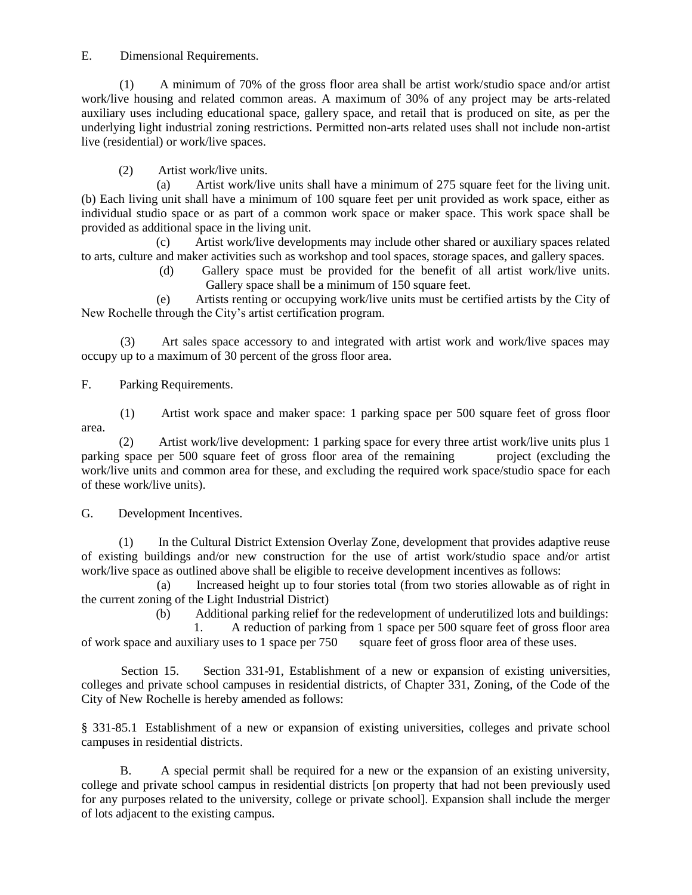## E. Dimensional Requirements.

 (1) A minimum of 70% of the gross floor area shall be artist work/studio space and/or artist work/live housing and related common areas. A maximum of 30% of any project may be arts-related auxiliary uses including educational space, gallery space, and retail that is produced on site, as per the underlying light industrial zoning restrictions. Permitted non-arts related uses shall not include non-artist live (residential) or work/live spaces.

(2) Artist work/live units.

 (a) Artist work/live units shall have a minimum of 275 square feet for the living unit. (b) Each living unit shall have a minimum of 100 square feet per unit provided as work space, either as individual studio space or as part of a common work space or maker space. This work space shall be provided as additional space in the living unit.

 (c) Artist work/live developments may include other shared or auxiliary spaces related to arts, culture and maker activities such as workshop and tool spaces, storage spaces, and gallery spaces.

> (d) Gallery space must be provided for the benefit of all artist work/live units. Gallery space shall be a minimum of 150 square feet.

 (e) Artists renting or occupying work/live units must be certified artists by the City of New Rochelle through the City's artist certification program.

 (3) Art sales space accessory to and integrated with artist work and work/live spaces may occupy up to a maximum of 30 percent of the gross floor area.

F. Parking Requirements.

 (1) Artist work space and maker space: 1 parking space per 500 square feet of gross floor area.

 (2) Artist work/live development: 1 parking space for every three artist work/live units plus 1 parking space per 500 square feet of gross floor area of the remaining project (excluding the work/live units and common area for these, and excluding the required work space/studio space for each of these work/live units).

G. Development Incentives.

 (1) In the Cultural District Extension Overlay Zone, development that provides adaptive reuse of existing buildings and/or new construction for the use of artist work/studio space and/or artist work/live space as outlined above shall be eligible to receive development incentives as follows:

 (a) Increased height up to four stories total (from two stories allowable as of right in the current zoning of the Light Industrial District)

(b) Additional parking relief for the redevelopment of underutilized lots and buildings:

 1. A reduction of parking from 1 space per 500 square feet of gross floor area of work space and auxiliary uses to 1 space per 750 square feet of gross floor area of these uses.

 Section 15. Section 331-91, Establishment of a new or expansion of existing universities, colleges and private school campuses in residential districts, of Chapter 331, Zoning, of the Code of the City of New Rochelle is hereby amended as follows:

§ 331-85.1 Establishment of a new or expansion of existing universities, colleges and private school campuses in residential districts.

 B. A special permit shall be required for a new or the expansion of an existing university, college and private school campus in residential districts [on property that had not been previously used for any purposes related to the university, college or private school]. Expansion shall include the merger of lots adjacent to the existing campus.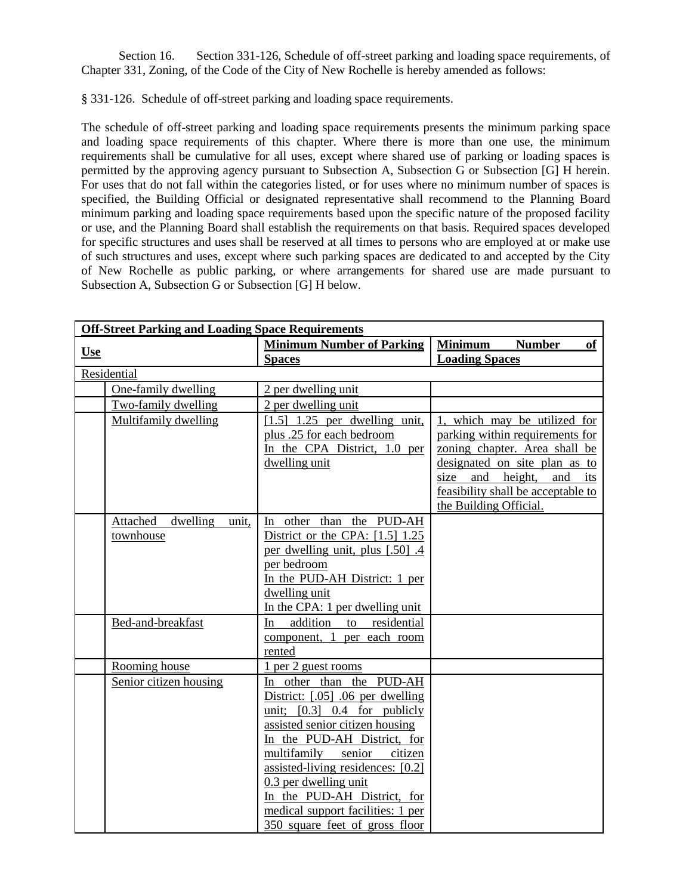Section 16. Section 331-126, Schedule of off-street parking and loading space requirements, of Chapter 331, Zoning, of the Code of the City of New Rochelle is hereby amended as follows:

§ 331-126. Schedule of off-street parking and loading space requirements.

The schedule of off-street parking and loading space requirements presents the minimum parking space and loading space requirements of this chapter. Where there is more than one use, the minimum requirements shall be cumulative for all uses, except where shared use of parking or loading spaces is permitted by the approving agency pursuant to Subsection A, Subsection G or Subsection [G] H herein. For uses that do not fall within the categories listed, or for uses where no minimum number of spaces is specified, the Building Official or designated representative shall recommend to the Planning Board minimum parking and loading space requirements based upon the specific nature of the proposed facility or use, and the Planning Board shall establish the requirements on that basis. Required spaces developed for specific structures and uses shall be reserved at all times to persons who are employed at or make use of such structures and uses, except where such parking spaces are dedicated to and accepted by the City of New Rochelle as public parking, or where arrangements for shared use are made pursuant to Subsection A, Subsection G or Subsection [G] H below.

| <b>Off-Street Parking and Loading Space Requirements</b> |                                            |                                                           |                                       |
|----------------------------------------------------------|--------------------------------------------|-----------------------------------------------------------|---------------------------------------|
|                                                          |                                            | <b>Minimum Number of Parking</b>                          | <b>Minimum</b><br><b>Number</b><br>of |
| <b>Use</b>                                               |                                            | <b>Spaces</b>                                             | <b>Loading Spaces</b>                 |
|                                                          | Residential                                |                                                           |                                       |
|                                                          | One-family dwelling                        | 2 per dwelling unit                                       |                                       |
|                                                          | Two-family dwelling                        | 2 per dwelling unit                                       |                                       |
|                                                          | Multifamily dwelling                       | $[1.5]$ 1.25 per dwelling unit,                           | 1, which may be utilized for          |
|                                                          |                                            | plus .25 for each bedroom                                 | parking within requirements for       |
|                                                          |                                            | In the CPA District, 1.0 per                              | zoning chapter. Area shall be         |
|                                                          |                                            | dwelling unit                                             | designated on site plan as to         |
|                                                          |                                            |                                                           | and height,<br>and<br>size<br>its     |
|                                                          |                                            |                                                           | feasibility shall be acceptable to    |
|                                                          |                                            | In other than the PUD-AH                                  | the Building Official.                |
|                                                          | Attached<br>dwelling<br>unit,<br>townhouse | District or the CPA: $[1.5]$ 1.25                         |                                       |
|                                                          |                                            | per dwelling unit, plus [.50] .4                          |                                       |
|                                                          |                                            | per bedroom                                               |                                       |
|                                                          |                                            | In the PUD-AH District: 1 per                             |                                       |
|                                                          |                                            | dwelling unit                                             |                                       |
|                                                          |                                            | In the CPA: 1 per dwelling unit                           |                                       |
|                                                          | Bed-and-breakfast                          | addition<br>residential<br>In<br>to                       |                                       |
|                                                          |                                            | component, 1 per each room                                |                                       |
|                                                          |                                            | rented                                                    |                                       |
|                                                          | Rooming house                              | 1 per 2 guest rooms                                       |                                       |
|                                                          | Senior citizen housing                     | In other than the PUD-AH                                  |                                       |
|                                                          |                                            | District: [.05] .06 per dwelling                          |                                       |
|                                                          |                                            | unit; $[0.3]$ 0.4 for publicly                            |                                       |
|                                                          |                                            | assisted senior citizen housing                           |                                       |
|                                                          |                                            | In the PUD-AH District, for<br>multifamily senior citizen |                                       |
|                                                          |                                            | assisted-living residences: [0.2]                         |                                       |
|                                                          |                                            | 0.3 per dwelling unit                                     |                                       |
|                                                          |                                            | In the PUD-AH District, for                               |                                       |
|                                                          |                                            | medical support facilities: 1 per                         |                                       |
|                                                          |                                            | 350 square feet of gross floor                            |                                       |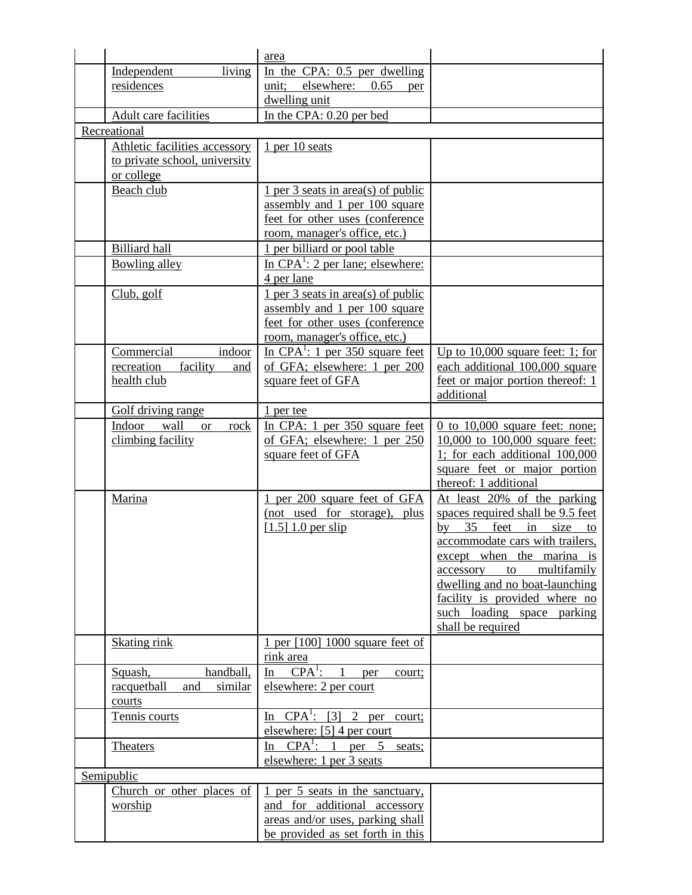|                                     | area                                                                              |                                                                  |
|-------------------------------------|-----------------------------------------------------------------------------------|------------------------------------------------------------------|
| Independent<br>living               | In the CPA: $0.5$ per dwelling                                                    |                                                                  |
| residences                          | unit; elsewhere: 0.65<br>per                                                      |                                                                  |
|                                     | dwelling unit                                                                     |                                                                  |
| Adult care facilities               | In the CPA: 0.20 per bed                                                          |                                                                  |
| Recreational                        |                                                                                   |                                                                  |
| Athletic facilities accessory       | $1$ per 10 seats                                                                  |                                                                  |
| to private school, university       |                                                                                   |                                                                  |
| or college                          |                                                                                   |                                                                  |
| Beach club                          | $1$ per 3 seats in area(s) of public                                              |                                                                  |
|                                     | assembly and 1 per 100 square                                                     |                                                                  |
|                                     | feet for other uses (conference                                                   |                                                                  |
|                                     | room, manager's office, etc.)                                                     |                                                                  |
| <b>Billiard</b> hall                | 1 per billiard or pool table                                                      |                                                                  |
| Bowling alley                       | In CPA <sup>1</sup> : 2 per lane; elsewhere:<br>4 per lane                        |                                                                  |
| Club, golf                          | $1$ per 3 seats in area(s) of public                                              |                                                                  |
|                                     | assembly and 1 per 100 square                                                     |                                                                  |
|                                     | feet for other uses (conference                                                   |                                                                  |
|                                     | room, manager's office, etc.)                                                     |                                                                  |
| Commercial<br>indoor                | In CPA <sup>1</sup> : 1 per 350 square feet                                       | Up to $10,000$ square feet: 1; for                               |
| recreation<br>facility<br>and       | of GFA; elsewhere: 1 per 200                                                      | each additional 100,000 square                                   |
| health club                         | square feet of GFA                                                                | feet or major portion thereof: 1                                 |
|                                     |                                                                                   | additional                                                       |
| Golf driving range                  | $1$ per tee                                                                       |                                                                  |
| wall<br>Indoor<br><b>or</b><br>rock | In CPA: 1 per 350 square feet                                                     | $0$ to $10,000$ square feet: none;                               |
| climbing facility                   | of GFA; elsewhere: 1 per 250                                                      | 10,000 to 100,000 square feet:<br>1; for each additional 100,000 |
|                                     | square feet of GFA                                                                | square feet or major portion                                     |
|                                     |                                                                                   | thereof: 1 additional                                            |
| Marina                              | 1 per 200 square feet of GFA                                                      | At least 20% of the parking                                      |
|                                     | (not used for storage), plus                                                      | spaces required shall be 9.5 feet                                |
|                                     | $[1.5] 1.0$ per slip                                                              | by 35 feet in size to                                            |
|                                     |                                                                                   | accommodate cars with trailers,                                  |
|                                     |                                                                                   | except when the marina is                                        |
|                                     |                                                                                   | multifamily<br>accessory<br>to                                   |
|                                     |                                                                                   | dwelling and no boat-launching                                   |
|                                     |                                                                                   | facility is provided where no                                    |
|                                     |                                                                                   | such loading space parking                                       |
|                                     |                                                                                   | shall be required                                                |
| Skating rink                        | 1 per [100] 1000 square feet of                                                   |                                                                  |
|                                     | rink area                                                                         |                                                                  |
| handball,<br>Squash,                | $CPA^1$ :<br>$\overline{1}$<br>In<br>per<br>court;                                |                                                                  |
| racquetball<br>similar<br>and       | elsewhere: 2 per court                                                            |                                                                  |
| courts                              |                                                                                   |                                                                  |
| Tennis courts                       | $\overline{In}$ CPA <sup>1</sup> : [3] 2 per court;<br>elsewhere: [5] 4 per court |                                                                  |
| <b>Theaters</b>                     | $In$ CPA <sup>1</sup> : 1<br>per 5<br>seats;                                      |                                                                  |
|                                     | elsewhere: 1 per 3 seats                                                          |                                                                  |
| Semipublic                          |                                                                                   |                                                                  |
| Church or other places of           | 1 per 5 seats in the sanctuary,                                                   |                                                                  |
| worship                             | and for additional accessory                                                      |                                                                  |
|                                     | areas and/or uses, parking shall                                                  |                                                                  |
|                                     | be provided as set forth in this                                                  |                                                                  |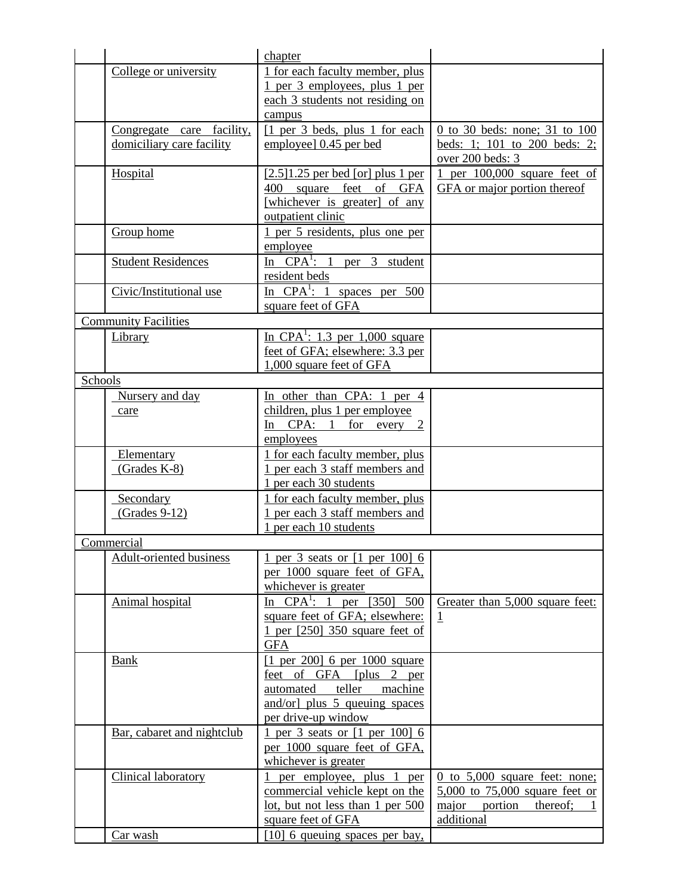|         |                                | chapter                                       |                                         |
|---------|--------------------------------|-----------------------------------------------|-----------------------------------------|
|         | College or university          | 1 for each faculty member, plus               |                                         |
|         |                                | 1 per 3 employees, plus 1 per                 |                                         |
|         |                                | each 3 students not residing on               |                                         |
|         |                                | campus                                        |                                         |
|         | Congregate care facility,      | $\lceil 1 \rceil$ per 3 beds, plus 1 for each | 0 to 30 beds: none; 31 to 100           |
|         | domiciliary care facility      | employee] 0.45 per bed                        | beds: 1; 101 to 200 beds: 2;            |
|         |                                |                                               | over 200 beds: 3                        |
|         | Hospital                       | $[2.5]1.25$ per bed [or] plus 1 per           | 1 per $100,000$ square feet of          |
|         |                                | 400 square feet of GFA                        | GFA or major portion thereof            |
|         |                                | [whichever is greater] of any                 |                                         |
|         |                                | outpatient clinic                             |                                         |
|         | Group home                     | 1 per 5 residents, plus one per               |                                         |
|         |                                | employee                                      |                                         |
|         | <b>Student Residences</b>      | In $CPA^1$ : 1 per 3 student                  |                                         |
|         |                                | resident beds                                 |                                         |
|         | Civic/Institutional use        | In $CPA^1$ : 1 spaces per 500                 |                                         |
|         |                                | square feet of GFA                            |                                         |
|         | <b>Community Facilities</b>    |                                               |                                         |
|         | Library                        | In CPA <sup>1</sup> : 1.3 per 1,000 square    |                                         |
|         |                                | feet of GFA; elsewhere: 3.3 per               |                                         |
|         |                                | 1,000 square feet of GFA                      |                                         |
| Schools |                                |                                               |                                         |
|         | Nursery and day                | In other than CPA: 1 per 4                    |                                         |
|         | care                           | children, plus 1 per employee                 |                                         |
|         |                                | In $CPA$ : 1 for every 2                      |                                         |
|         |                                | employees                                     |                                         |
|         | Elementary                     | 1 for each faculty member, plus               |                                         |
|         | (Grades K-8)                   | 1 per each 3 staff members and                |                                         |
|         |                                | 1 per each 30 students                        |                                         |
|         | Secondary                      | 1 for each faculty member, plus               |                                         |
|         | $(Grades 9-12)$                | 1 per each 3 staff members and                |                                         |
|         |                                | 1 per each 10 students                        |                                         |
|         | Commercial                     |                                               |                                         |
|         | <b>Adult-oriented business</b> | 1 per 3 seats or [1 per 100] 6                |                                         |
|         |                                | per 1000 square feet of GFA,                  |                                         |
|         |                                | whichever is greater                          |                                         |
|         | Animal hospital                | In $CPA^1$ : 1 per [350]<br>500               | Greater than 5,000 square feet:         |
|         |                                | square feet of GFA; elsewhere:                | $\mathbf{1}$                            |
|         |                                | 1 per [250] 350 square feet of                |                                         |
|         |                                | <b>GFA</b>                                    |                                         |
|         | <b>Bank</b>                    | $[1 \text{ per } 200]$ 6 per 1000 square      |                                         |
|         |                                | feet of GFA [plus 2 per                       |                                         |
|         |                                | teller<br>automated<br>machine                |                                         |
|         |                                | and/or] plus 5 queuing spaces                 |                                         |
|         |                                | per drive-up window                           |                                         |
|         | Bar, cabaret and nightclub     | 1 per 3 seats or [1 per 100] 6                |                                         |
|         |                                | per 1000 square feet of GFA,                  |                                         |
|         |                                | whichever is greater                          |                                         |
|         | Clinical laboratory            | 1 per employee, plus 1 per                    | $0$ to 5,000 square feet: none;         |
|         |                                | commercial vehicle kept on the                | 5,000 to 75,000 square feet or          |
|         |                                | lot, but not less than 1 per 500              | major portion<br>thereof;<br>additional |
|         |                                | square feet of GFA                            |                                         |
|         | Car wash                       | [10] 6 queuing spaces per bay,                |                                         |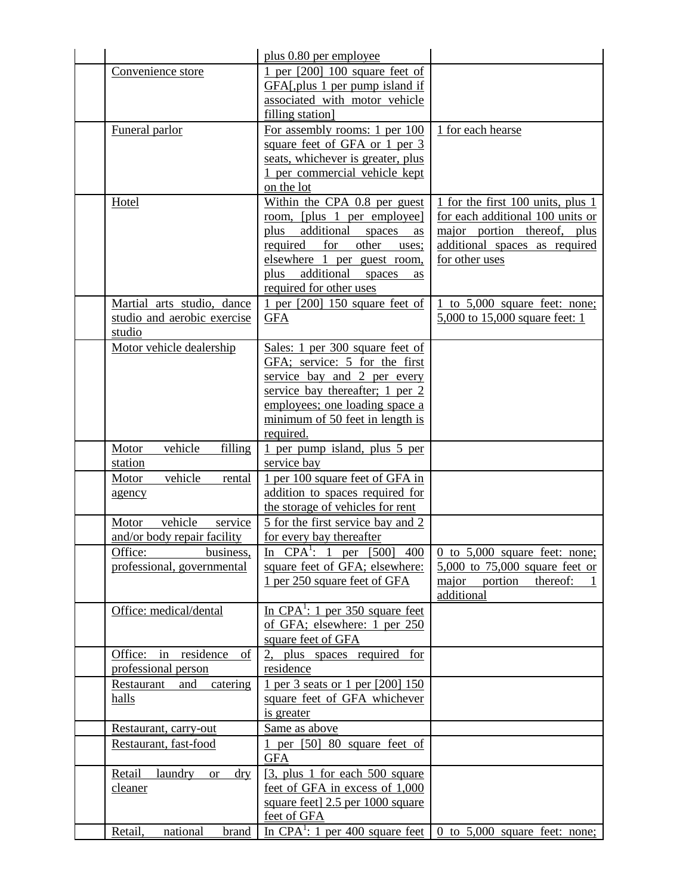|                                       | plus 0.80 per employee                                                            |                                          |
|---------------------------------------|-----------------------------------------------------------------------------------|------------------------------------------|
| Convenience store                     | 1 per $[200]$ 100 square feet of                                                  |                                          |
|                                       | GFAL, plus 1 per pump island if                                                   |                                          |
|                                       | associated with motor vehicle                                                     |                                          |
|                                       | filling station]                                                                  |                                          |
| Funeral parlor                        | For assembly rooms: 1 per 100                                                     | 1 for each hearse                        |
|                                       | square feet of GFA or 1 per 3                                                     |                                          |
|                                       | seats, whichever is greater, plus                                                 |                                          |
|                                       | 1 per commercial vehicle kept                                                     |                                          |
|                                       | on the lot                                                                        |                                          |
| Hotel                                 | Within the CPA 0.8 per guest                                                      | 1 for the first 100 units, plus 1        |
|                                       | room, [plus 1 per employee]                                                       | for each additional 100 units or         |
|                                       | plus additional spaces<br>as                                                      | major portion thereof, plus              |
|                                       | required<br>for<br>other<br>uses;                                                 | additional spaces as required            |
|                                       | elsewhere 1 per guest room,                                                       | for other uses                           |
|                                       | additional<br>plus<br>spaces<br>as                                                |                                          |
|                                       | required for other uses                                                           |                                          |
| Martial arts studio, dance            | 1 per $[200]$ 150 square feet of                                                  | to 5,000 square feet: none;              |
| studio and aerobic exercise           | <b>GFA</b>                                                                        | 5,000 to 15,000 square feet: 1           |
| studio                                |                                                                                   |                                          |
| Motor vehicle dealership              | Sales: 1 per 300 square feet of                                                   |                                          |
|                                       | GFA; service: 5 for the first                                                     |                                          |
|                                       | service bay and 2 per every                                                       |                                          |
|                                       | service bay thereafter; $1 \text{ per } 2$                                        |                                          |
|                                       | employees; one loading space a                                                    |                                          |
|                                       | minimum of 50 feet in length is                                                   |                                          |
|                                       | required.                                                                         |                                          |
| vehicle<br>filling<br>Motor           | 1 per pump island, plus 5 per                                                     |                                          |
| station                               | service bay                                                                       |                                          |
| vehicle<br>Motor<br>rental            | 1 per 100 square feet of GFA in                                                   |                                          |
| agency                                | addition to spaces required for                                                   |                                          |
|                                       | the storage of vehicles for rent                                                  |                                          |
| vehicle<br>Motor<br>service           | 5 for the first service bay and 2                                                 |                                          |
| and/or body repair facility           | for every bay thereafter                                                          |                                          |
| Office:<br>business.                  | In $CPA^1$ : 1 per [500]                                                          | $400 \mid 0$ to 5,000 square feet: none; |
| professional, governmental            | square feet of GFA; elsewhere:                                                    | 5,000 to 75,000 square feet or           |
|                                       | 1 per 250 square feet of GFA                                                      | major portion<br>thereof:                |
|                                       |                                                                                   | additional                               |
| Office: medical/dental                | In CPA <sup>1</sup> : 1 per 350 square feet                                       |                                          |
|                                       | of GFA; elsewhere: 1 per 250                                                      |                                          |
|                                       | square feet of GFA                                                                |                                          |
| Office: in residence<br>of            | 2, plus spaces required for                                                       |                                          |
| professional person                   | residence                                                                         |                                          |
| catering<br>Restaurant<br>and         | 1 per 3 seats or 1 per [200] 150                                                  |                                          |
| halls                                 | square feet of GFA whichever                                                      |                                          |
|                                       | is greater                                                                        |                                          |
| Restaurant, carry-out                 | Same as above                                                                     |                                          |
| Restaurant, fast-food                 | 1 per $[50]$ 80 square feet of<br><b>GFA</b>                                      |                                          |
| laundry<br>Retail<br>dry<br><b>or</b> | [3, plus 1 for each 500 square]                                                   |                                          |
| cleaner                               | feet of GFA in excess of 1,000                                                    |                                          |
|                                       | square feet] 2.5 per 1000 square                                                  |                                          |
|                                       | feet of GFA                                                                       |                                          |
| Retail,<br>national<br>brand          | In CPA <sup>1</sup> : 1 per 400 square feet $\vert$ 0 to 5,000 square feet: none; |                                          |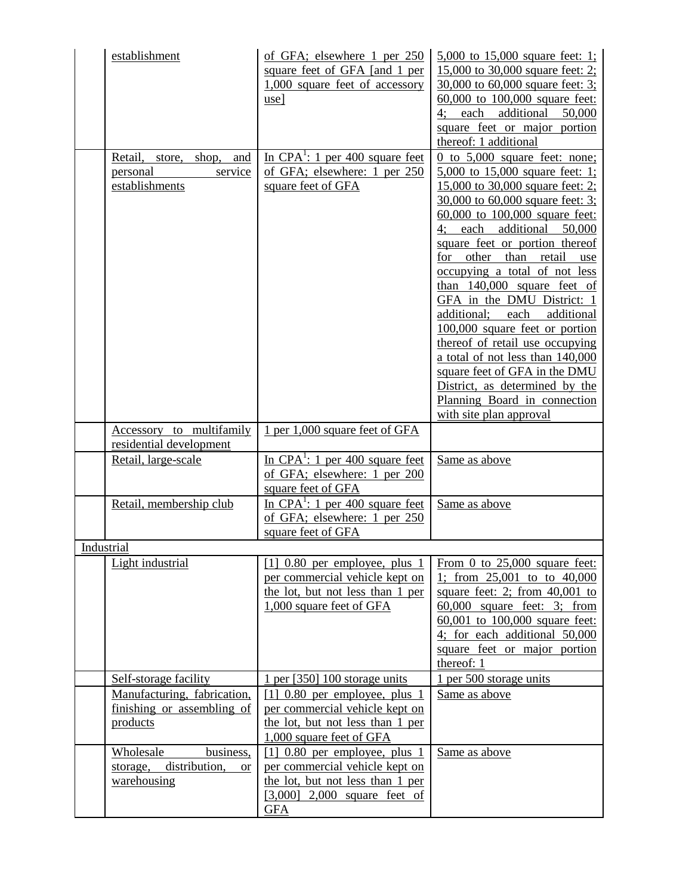|            | establishment<br>Retail,<br>shop, and<br>store,<br>personal<br>service<br>establishments | of GFA; elsewhere 1 per 250<br>square feet of GFA [and 1 per<br>1,000 square feet of accessory<br>$use$<br>In CPA <sup><math>\cdot</math></sup> : 1 per 400 square feet<br>of GFA; elsewhere: 1 per 250<br>square feet of GFA | 5,000 to 15,000 square feet: 1;<br>15,000 to 30,000 square feet: 2;<br>30,000 to 60,000 square feet: 3;<br>60,000 to 100,000 square feet:<br>each additional 50,000<br>4:<br>square feet or major portion<br>thereof: 1 additional<br>$0$ to $5,000$ square feet: none:<br>5,000 to 15,000 square feet: 1;<br>15,000 to 30,000 square feet: 2;<br>30,000 to 60,000 square feet: 3;<br>60,000 to 100,000 square feet:<br>4; each additional 50,000<br>square feet or portion thereof<br>for other than retail use<br>occupying a total of not less<br>than 140,000 square feet of<br>GFA in the DMU District: 1<br>additional;<br>each<br>additional<br>100,000 square feet or portion<br>thereof of retail use occupying<br>a total of not less than 140,000 |
|------------|------------------------------------------------------------------------------------------|-------------------------------------------------------------------------------------------------------------------------------------------------------------------------------------------------------------------------------|--------------------------------------------------------------------------------------------------------------------------------------------------------------------------------------------------------------------------------------------------------------------------------------------------------------------------------------------------------------------------------------------------------------------------------------------------------------------------------------------------------------------------------------------------------------------------------------------------------------------------------------------------------------------------------------------------------------------------------------------------------------|
|            |                                                                                          |                                                                                                                                                                                                                               | square feet of GFA in the DMU<br>District, as determined by the<br>Planning Board in connection<br>with site plan approval                                                                                                                                                                                                                                                                                                                                                                                                                                                                                                                                                                                                                                   |
|            | Accessory to multifamily<br>residential development                                      | 1 per 1,000 square feet of GFA                                                                                                                                                                                                |                                                                                                                                                                                                                                                                                                                                                                                                                                                                                                                                                                                                                                                                                                                                                              |
|            | Retail, large-scale                                                                      | In $CPA^1$ : 1 per 400 square feet<br>of GFA; elsewhere: 1 per 200<br>square feet of GFA                                                                                                                                      | Same as above                                                                                                                                                                                                                                                                                                                                                                                                                                                                                                                                                                                                                                                                                                                                                |
|            | Retail, membership club                                                                  | In CPA <sup>1</sup> : 1 per $\frac{400}{ }$ square feet<br>of GFA; elsewhere: 1 per 250<br>square feet of GFA                                                                                                                 | Same as above                                                                                                                                                                                                                                                                                                                                                                                                                                                                                                                                                                                                                                                                                                                                                |
| Industrial |                                                                                          |                                                                                                                                                                                                                               |                                                                                                                                                                                                                                                                                                                                                                                                                                                                                                                                                                                                                                                                                                                                                              |
|            | Light industrial                                                                         | $[1]$ 0.80 per employee, plus 1<br>per commercial vehicle kept on<br>the lot, but not less than 1 per<br>1,000 square feet of GFA                                                                                             | From 0 to 25,000 square feet:<br>1; from 25,001 to to 40,000<br>square feet: 2; from $40,001$ to<br>$60,000$ square feet: 3; from<br>60,001 to 100,000 square feet:<br>4; for each additional 50,000<br>square feet or major portion<br>thereof: 1                                                                                                                                                                                                                                                                                                                                                                                                                                                                                                           |
|            | Self-storage facility                                                                    | 1 per [350] 100 storage units                                                                                                                                                                                                 | 1 per 500 storage units                                                                                                                                                                                                                                                                                                                                                                                                                                                                                                                                                                                                                                                                                                                                      |
|            | Manufacturing, fabrication,<br>finishing or assembling of<br>products                    | $[1]$ 0.80 per employee, plus 1<br>per commercial vehicle kept on<br>the lot, but not less than 1 per<br>1,000 square feet of GFA                                                                                             | Same as above                                                                                                                                                                                                                                                                                                                                                                                                                                                                                                                                                                                                                                                                                                                                                |
|            | Wholesale<br>business,<br>distribution,<br>storage,<br><b>or</b><br>warehousing          | $[1]$ 0.80 per employee, plus 1<br>per commercial vehicle kept on<br>the lot, but not less than 1 per<br>$[3,000]$ 2,000 square feet of<br><u>GFA</u>                                                                         | Same as above                                                                                                                                                                                                                                                                                                                                                                                                                                                                                                                                                                                                                                                                                                                                                |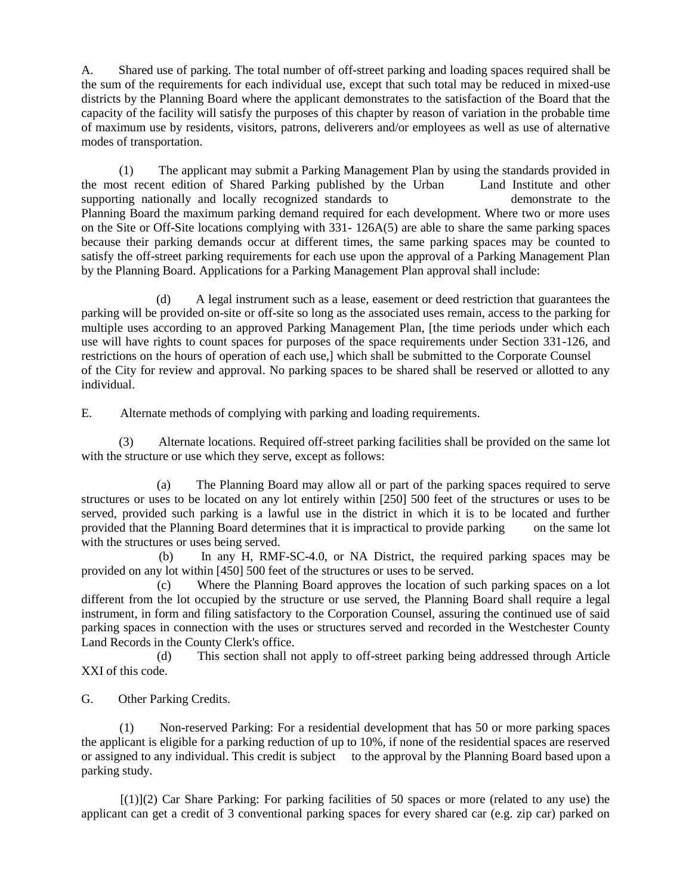A. Shared use of parking. The total number of off-street parking and loading spaces required shall be the sum of the requirements for each individual use, except that such total may be reduced in mixed-use districts by the Planning Board where the applicant demonstrates to the satisfaction of the Board that the capacity of the facility will satisfy the purposes of this chapter by reason of variation in the probable time of maximum use by residents, visitors, patrons, deliverers and/or employees as well as use of alternative modes of transportation.

 (1) The applicant may submit a Parking Management Plan by using the standards provided in the most recent edition of Shared Parking published by the Urban Land Institute and other supporting nationally and locally recognized standards to demonstrate to the Planning Board the maximum parking demand required for each development. Where two or more uses on the Site or Off-Site locations complying with 331- 126A(5) are able to share the same parking spaces because their parking demands occur at different times, the same parking spaces may be counted to satisfy the off-street parking requirements for each use upon the approval of a Parking Management Plan by the Planning Board. Applications for a Parking Management Plan approval shall include:

 (d) A legal instrument such as a lease, easement or deed restriction that guarantees the parking will be provided on-site or off-site so long as the associated uses remain, access to the parking for multiple uses according to an approved Parking Management Plan, [the time periods under which each use will have rights to count spaces for purposes of the space requirements under Section 331-126, and restrictions on the hours of operation of each use,] which shall be submitted to the Corporate Counsel of the City for review and approval. No parking spaces to be shared shall be reserved or allotted to any individual.

E. Alternate methods of complying with parking and loading requirements.

 (3) Alternate locations. Required off-street parking facilities shall be provided on the same lot with the structure or use which they serve, except as follows:

 (a) The Planning Board may allow all or part of the parking spaces required to serve structures or uses to be located on any lot entirely within [250] 500 feet of the structures or uses to be served, provided such parking is a lawful use in the district in which it is to be located and further provided that the Planning Board determines that it is impractical to provide parking on the same lot with the structures or uses being served.

 (b) In any H, RMF-SC-4.0, or NA District, the required parking spaces may be provided on any lot within [450] 500 feet of the structures or uses to be served.

 (c) Where the Planning Board approves the location of such parking spaces on a lot different from the lot occupied by the structure or use served, the Planning Board shall require a legal instrument, in form and filing satisfactory to the Corporation Counsel, assuring the continued use of said parking spaces in connection with the uses or structures served and recorded in the Westchester County Land Records in the County Clerk's office.

 (d) This section shall not apply to off-street parking being addressed through Article XXI of this code.

G. Other Parking Credits.

 (1) Non-reserved Parking: For a residential development that has 50 or more parking spaces the applicant is eligible for a parking reduction of up to 10%, if none of the residential spaces are reserved or assigned to any individual. This credit is subject to the approval by the Planning Board based upon a parking study.

 $[(1)](2)$  Car Share Parking: For parking facilities of 50 spaces or more (related to any use) the applicant can get a credit of 3 conventional parking spaces for every shared car (e.g. zip car) parked on